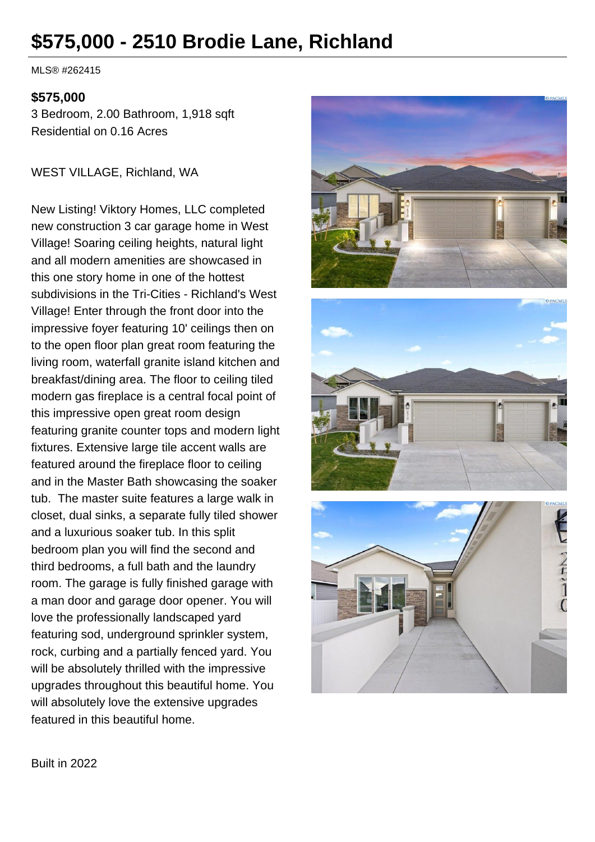# **\$575,000 - 2510 Brodie Lane, Richland**

MLS® #262415

#### **\$575,000**

3 Bedroom, 2.00 Bathroom, 1,918 sqft Residential on 0.16 Acres

WEST VILLAGE, Richland, WA

New Listing! Viktory Homes, LLC completed new construction 3 car garage home in West Village! Soaring ceiling heights, natural light and all modern amenities are showcased in this one story home in one of the hottest subdivisions in the Tri-Cities - Richland's West Village! Enter through the front door into the impressive foyer featuring 10' ceilings then on to the open floor plan great room featuring the living room, waterfall granite island kitchen and breakfast/dining area. The floor to ceiling tiled modern gas fireplace is a central focal point of this impressive open great room design featuring granite counter tops and modern light fixtures. Extensive large tile accent walls are featured around the fireplace floor to ceiling and in the Master Bath showcasing the soaker tub. The master suite features a large walk in closet, dual sinks, a separate fully tiled shower and a luxurious soaker tub. In this split bedroom plan you will find the second and third bedrooms, a full bath and the laundry room. The garage is fully finished garage with a man door and garage door opener. You will love the professionally landscaped yard featuring sod, underground sprinkler system, rock, curbing and a partially fenced yard. You will be absolutely thrilled with the impressive upgrades throughout this beautiful home. You will absolutely love the extensive upgrades featured in this beautiful home.



Built in 2022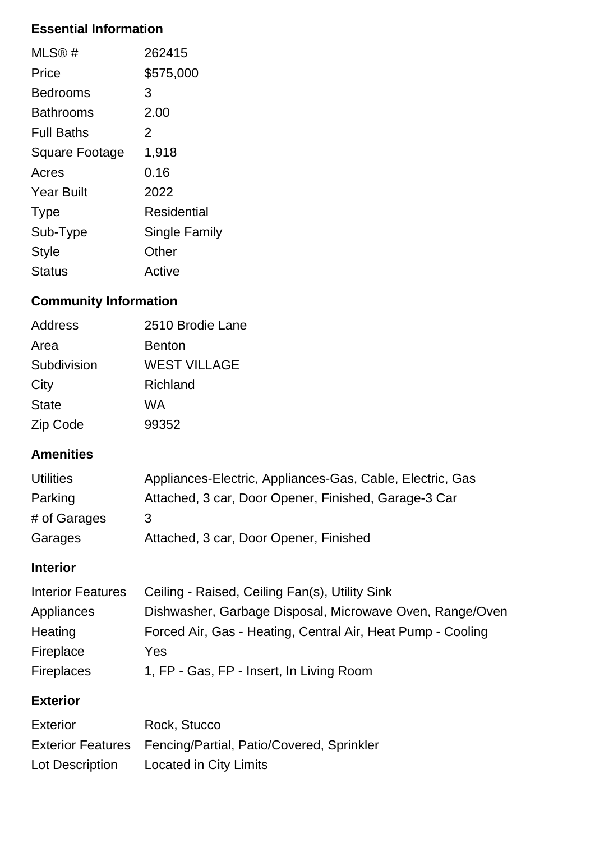# **Essential Information**

| MLS@#                 | 262415        |
|-----------------------|---------------|
| Price                 | \$575,000     |
| Bedrooms              | 3             |
| Bathrooms             | 2.00          |
| <b>Full Baths</b>     | 2             |
| <b>Square Footage</b> | 1,918         |
| Acres                 | 0.16          |
| <b>Year Built</b>     | 2022          |
| <b>Type</b>           | Residential   |
| Sub-Type              | Single Family |
| <b>Style</b>          | Other         |
| Status                | Active        |

# **Community Information**

| Address      | 2510 Brodie Lane |
|--------------|------------------|
| Area         | <b>Benton</b>    |
| Subdivision  | WEST VILLAGE     |
| City         | Richland         |
| <b>State</b> | WA               |
| Zip Code     | 99352            |

## **Amenities**

| <b>Utilities</b>         | Appliances-Electric, Appliances-Gas, Cable, Electric, Gas   |
|--------------------------|-------------------------------------------------------------|
| Parking                  | Attached, 3 car, Door Opener, Finished, Garage-3 Car        |
| # of Garages             | 3                                                           |
| Garages                  | Attached, 3 car, Door Opener, Finished                      |
| <b>Interior</b>          |                                                             |
| <b>Interior Features</b> | Ceiling - Raised, Ceiling Fan(s), Utility Sink              |
| Appliances               | Dishwasher, Garbage Disposal, Microwave Oven, Range/Oven    |
| Heating                  | Forced Air, Gas - Heating, Central Air, Heat Pump - Cooling |

Fireplace Yes Fireplaces 1, FP - Gas, FP - Insert, In Living Room

# **Exterior**

| <b>Exterior</b> | Rock, Stucco                                                |
|-----------------|-------------------------------------------------------------|
|                 | Exterior Features Fencing/Partial, Patio/Covered, Sprinkler |
| Lot Description | Located in City Limits                                      |